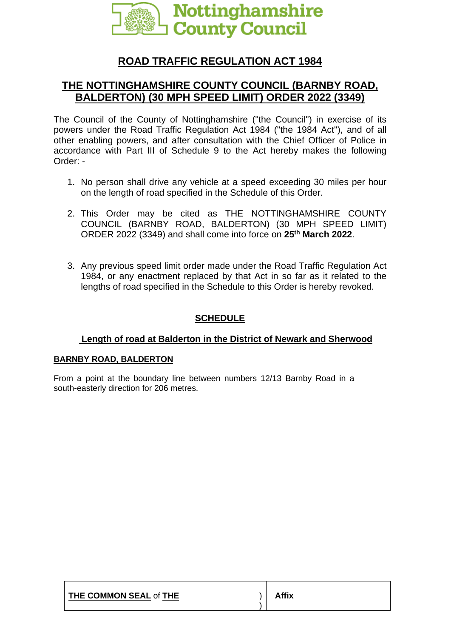

# **ROAD TRAFFIC REGULATION ACT 1984**

## **THE NOTTINGHAMSHIRE COUNTY COUNCIL (BARNBY ROAD, BALDERTON) (30 MPH SPEED LIMIT) ORDER 2022 (3349)**

The Council of the County of Nottinghamshire ("the Council") in exercise of its powers under the Road Traffic Regulation Act 1984 ("the 1984 Act"), and of all other enabling powers, and after consultation with the Chief Officer of Police in accordance with Part III of Schedule 9 to the Act hereby makes the following Order: -

- 1. No person shall drive any vehicle at a speed exceeding 30 miles per hour on the length of road specified in the Schedule of this Order.
- 2. This Order may be cited as THE NOTTINGHAMSHIRE COUNTY COUNCIL (BARNBY ROAD, BALDERTON) (30 MPH SPEED LIMIT) ORDER 2022 (3349) and shall come into force on **25th March 2022**.
- 3. Any previous speed limit order made under the Road Traffic Regulation Act 1984, or any enactment replaced by that Act in so far as it related to the lengths of road specified in the Schedule to this Order is hereby revoked.

### **SCHEDULE**

#### **Length of road at Balderton in the District of Newark and Sherwood**

#### **BARNBY ROAD, BALDERTON**

From a point at the boundary line between numbers 12/13 Barnby Road in a south-easterly direction for 206 metres.

| THE COMMON SEAL of THE | Affix |
|------------------------|-------|
|------------------------|-------|